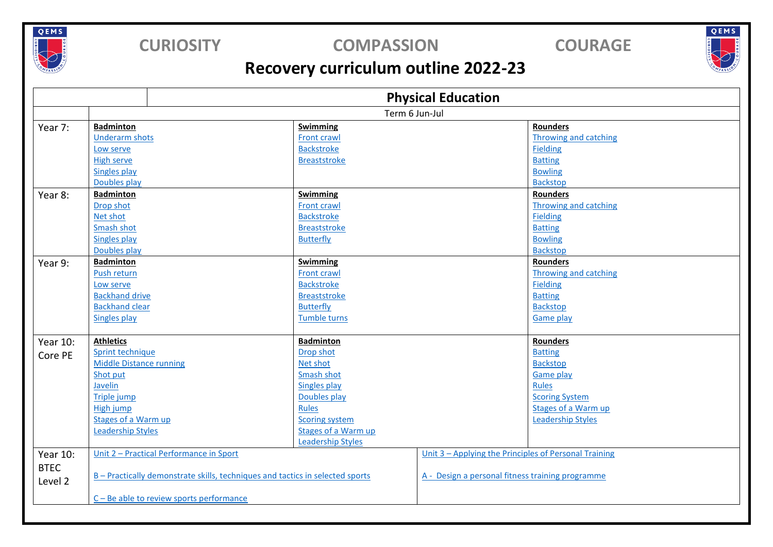

### **CURIOSITY COMPASSION COURAGE**

QEMS

## **Recovery curriculum outline 2022-23**

|             | <b>Physical Education</b>                                                     |                            |                                                       |  |
|-------------|-------------------------------------------------------------------------------|----------------------------|-------------------------------------------------------|--|
|             | Term 6 Jun-Jul                                                                |                            |                                                       |  |
| Year 7:     | <b>Badminton</b>                                                              | Swimming                   | <b>Rounders</b>                                       |  |
|             | <b>Underarm shots</b>                                                         | Front crawl                | <b>Throwing and catching</b>                          |  |
|             | Low serve                                                                     | <b>Backstroke</b>          | <b>Fielding</b>                                       |  |
|             | <b>High serve</b>                                                             | <b>Breaststroke</b>        | <b>Batting</b>                                        |  |
|             | <b>Singles play</b>                                                           |                            | <b>Bowling</b>                                        |  |
|             | Doubles play                                                                  |                            | <b>Backstop</b>                                       |  |
| Year 8:     | <b>Badminton</b>                                                              | Swimming                   | <b>Rounders</b>                                       |  |
|             | Drop shot                                                                     | Front crawl                | <b>Throwing and catching</b>                          |  |
|             | Net shot                                                                      | <b>Backstroke</b>          | <b>Fielding</b>                                       |  |
|             | Smash shot                                                                    | <b>Breaststroke</b>        | <b>Batting</b>                                        |  |
|             | <b>Singles play</b>                                                           | Butterfly                  | <b>Bowling</b>                                        |  |
|             | Doubles play                                                                  |                            | <b>Backstop</b>                                       |  |
| Year 9:     | <b>Badminton</b>                                                              | <b>Swimming</b>            | <b>Rounders</b>                                       |  |
|             | Push return                                                                   | Front crawl                | <b>Throwing and catching</b>                          |  |
|             | Low serve                                                                     | <b>Backstroke</b>          | <b>Fielding</b>                                       |  |
|             | <b>Backhand drive</b>                                                         | <b>Breaststroke</b>        | <b>Batting</b>                                        |  |
|             | <b>Backhand clear</b>                                                         | Butterfly                  | <b>Backstop</b>                                       |  |
|             | <b>Singles play</b>                                                           | Tumble turns               | <b>Game play</b>                                      |  |
|             |                                                                               |                            |                                                       |  |
| Year 10:    | <b>Athletics</b>                                                              | <b>Badminton</b>           | <b>Rounders</b>                                       |  |
| Core PE     | Sprint technique                                                              | Drop shot                  | <b>Batting</b>                                        |  |
|             | <b>Middle Distance running</b>                                                | Net shot                   | <b>Backstop</b>                                       |  |
|             | Shot put                                                                      | Smash shot                 | <b>Game play</b>                                      |  |
|             | Javelin                                                                       | <b>Singles play</b>        | <b>Rules</b>                                          |  |
|             | Triple jump                                                                   | Doubles play               | <b>Scoring System</b>                                 |  |
|             | High jump                                                                     | <b>Rules</b>               | <b>Stages of a Warm up</b>                            |  |
|             | Stages of a Warm up                                                           | <b>Scoring system</b>      | <b>Leadership Styles</b>                              |  |
|             | <b>Leadership Styles</b>                                                      | <b>Stages of a Warm up</b> |                                                       |  |
|             |                                                                               | <b>Leadership Styles</b>   |                                                       |  |
| Year 10:    | Unit 2 - Practical Performance in Sport                                       |                            | Unit 3 - Applying the Principles of Personal Training |  |
| <b>BTEC</b> |                                                                               |                            |                                                       |  |
| Level 2     | B - Practically demonstrate skills, techniques and tactics in selected sports |                            | A - Design a personal fitness training programme      |  |
|             |                                                                               |                            |                                                       |  |
|             | C-Be able to review sports performance                                        |                            |                                                       |  |
|             |                                                                               |                            |                                                       |  |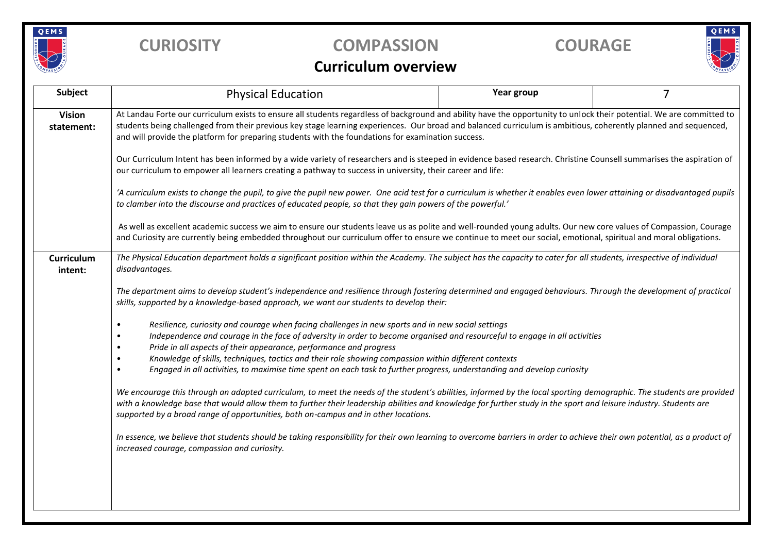

## **CURIOSITY COMPASSION COURAGE**

# QEMS

#### **Curriculum overview**

| Subject                      | <b>Physical Education</b>                                                                                                                                                                                                                                                                                                                                                                                                                      | Year group | $\overline{7}$ |  |  |  |  |
|------------------------------|------------------------------------------------------------------------------------------------------------------------------------------------------------------------------------------------------------------------------------------------------------------------------------------------------------------------------------------------------------------------------------------------------------------------------------------------|------------|----------------|--|--|--|--|
| <b>Vision</b><br>statement:  | At Landau Forte our curriculum exists to ensure all students regardless of background and ability have the opportunity to unlock their potential. We are committed to<br>students being challenged from their previous key stage learning experiences. Our broad and balanced curriculum is ambitious, coherently planned and sequenced,<br>and will provide the platform for preparing students with the foundations for examination success. |            |                |  |  |  |  |
|                              | Our Curriculum Intent has been informed by a wide variety of researchers and is steeped in evidence based research. Christine Counsell summarises the aspiration of<br>our curriculum to empower all learners creating a pathway to success in university, their career and life:                                                                                                                                                              |            |                |  |  |  |  |
|                              | 'A curriculum exists to change the pupil, to give the pupil new power. One acid test for a curriculum is whether it enables even lower attaining or disadvantaged pupils<br>to clamber into the discourse and practices of educated people, so that they gain powers of the powerful.'                                                                                                                                                         |            |                |  |  |  |  |
|                              | As well as excellent academic success we aim to ensure our students leave us as polite and well-rounded young adults. Our new core values of Compassion, Courage<br>and Curiosity are currently being embedded throughout our curriculum offer to ensure we continue to meet our social, emotional, spiritual and moral obligations.                                                                                                           |            |                |  |  |  |  |
| <b>Curriculum</b><br>intent: | The Physical Education department holds a significant position within the Academy. The subject has the capacity to cater for all students, irrespective of individual<br>disadvantages.                                                                                                                                                                                                                                                        |            |                |  |  |  |  |
|                              | The department aims to develop student's independence and resilience through fostering determined and engaged behaviours. Through the development of practical<br>skills, supported by a knowledge-based approach, we want our students to develop their:                                                                                                                                                                                      |            |                |  |  |  |  |
|                              | Resilience, curiosity and courage when facing challenges in new sports and in new social settings<br>$\bullet$<br>Independence and courage in the face of adversity in order to become organised and resourceful to engage in all activities<br>Pride in all aspects of their appearance, performance and progress                                                                                                                             |            |                |  |  |  |  |
|                              | Knowledge of skills, techniques, tactics and their role showing compassion within different contexts<br>$\bullet$<br>Engaged in all activities, to maximise time spent on each task to further progress, understanding and develop curiosity<br>$\bullet$                                                                                                                                                                                      |            |                |  |  |  |  |
|                              | We encourage this through an adapted curriculum, to meet the needs of the student's abilities, informed by the local sporting demographic. The students are provided<br>with a knowledge base that would allow them to further their leadership abilities and knowledge for further study in the sport and leisure industry. Students are<br>supported by a broad range of opportunities, both on-campus and in other locations.               |            |                |  |  |  |  |
|                              | In essence, we believe that students should be taking responsibility for their own learning to overcome barriers in order to achieve their own potential, as a product of<br>increased courage, compassion and curiosity.                                                                                                                                                                                                                      |            |                |  |  |  |  |
|                              |                                                                                                                                                                                                                                                                                                                                                                                                                                                |            |                |  |  |  |  |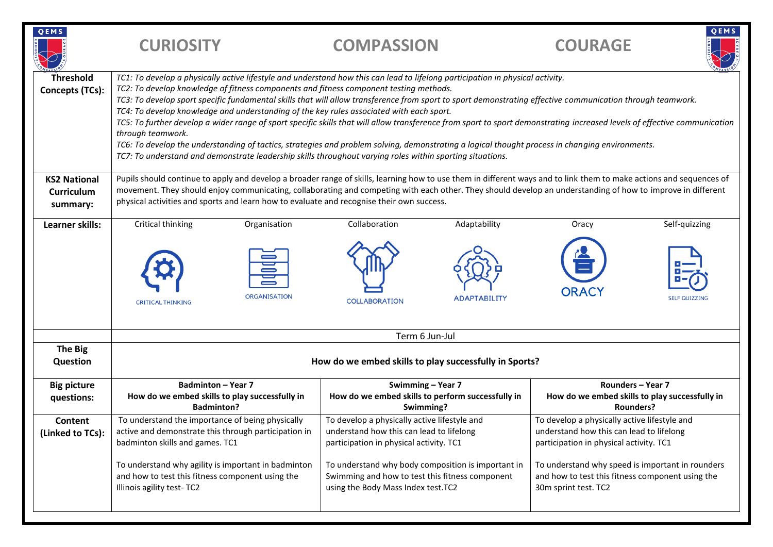| QEMS                                                 | <b>CURIOSITY</b>                                                                                                                                                                                                                                                                                                                                                                                                                                                                                                                                                                                                                                                                                                                                                                                                                                                                                                                                     |                     | <b>COMPASSION</b>                                                                                                                           |                     | <b>COURAGE</b>                                                                                                                      | QEMS                                                                                           |
|------------------------------------------------------|------------------------------------------------------------------------------------------------------------------------------------------------------------------------------------------------------------------------------------------------------------------------------------------------------------------------------------------------------------------------------------------------------------------------------------------------------------------------------------------------------------------------------------------------------------------------------------------------------------------------------------------------------------------------------------------------------------------------------------------------------------------------------------------------------------------------------------------------------------------------------------------------------------------------------------------------------|---------------------|---------------------------------------------------------------------------------------------------------------------------------------------|---------------------|-------------------------------------------------------------------------------------------------------------------------------------|------------------------------------------------------------------------------------------------|
| <b>Threshold</b><br><b>Concepts (TCs):</b>           | TC1: To develop a physically active lifestyle and understand how this can lead to lifelong participation in physical activity.<br>TC2: To develop knowledge of fitness components and fitness component testing methods.<br>TC3: To develop sport specific fundamental skills that will allow transference from sport to sport demonstrating effective communication through teamwork.<br>TC4: To develop knowledge and understanding of the key rules associated with each sport.<br>TC5: To further develop a wider range of sport specific skills that will allow transference from sport to sport demonstrating increased levels of effective communication<br>through teamwork.<br>TC6: To develop the understanding of tactics, strategies and problem solving, demonstrating a logical thought process in changing environments.<br>TC7: To understand and demonstrate leadership skills throughout varying roles within sporting situations. |                     |                                                                                                                                             |                     |                                                                                                                                     |                                                                                                |
| <b>KS2 National</b><br><b>Curriculum</b><br>summary: | Pupils should continue to apply and develop a broader range of skills, learning how to use them in different ways and to link them to make actions and sequences of<br>movement. They should enjoy communicating, collaborating and competing with each other. They should develop an understanding of how to improve in different<br>physical activities and sports and learn how to evaluate and recognise their own success.                                                                                                                                                                                                                                                                                                                                                                                                                                                                                                                      |                     |                                                                                                                                             |                     |                                                                                                                                     |                                                                                                |
| Learner skills:                                      | Critical thinking                                                                                                                                                                                                                                                                                                                                                                                                                                                                                                                                                                                                                                                                                                                                                                                                                                                                                                                                    | Organisation        | Collaboration                                                                                                                               | Adaptability        | Oracy                                                                                                                               | Self-quizzing                                                                                  |
|                                                      | <b>CRITICAL THINKING</b>                                                                                                                                                                                                                                                                                                                                                                                                                                                                                                                                                                                                                                                                                                                                                                                                                                                                                                                             | <b>ORGANISATION</b> | <b>COLLABORATION</b>                                                                                                                        | <b>ADAPTABILITY</b> | <b>ORACY</b>                                                                                                                        | <b>SELF QUIZZING</b>                                                                           |
|                                                      | Term 6 Jun-Jul                                                                                                                                                                                                                                                                                                                                                                                                                                                                                                                                                                                                                                                                                                                                                                                                                                                                                                                                       |                     |                                                                                                                                             |                     |                                                                                                                                     |                                                                                                |
| The Big<br>Question                                  | How do we embed skills to play successfully in Sports?                                                                                                                                                                                                                                                                                                                                                                                                                                                                                                                                                                                                                                                                                                                                                                                                                                                                                               |                     |                                                                                                                                             |                     |                                                                                                                                     |                                                                                                |
| <b>Big picture</b><br>questions:                     | <b>Badminton - Year 7</b><br>How do we embed skills to play successfully in<br><b>Badminton?</b>                                                                                                                                                                                                                                                                                                                                                                                                                                                                                                                                                                                                                                                                                                                                                                                                                                                     |                     | Swimming - Year 7<br>How do we embed skills to perform successfully in<br>Swimming?                                                         |                     |                                                                                                                                     | <b>Rounders - Year 7</b><br>How do we embed skills to play successfully in<br><b>Rounders?</b> |
| Content<br>(Linked to TCs):                          | To understand the importance of being physically<br>active and demonstrate this through participation in<br>badminton skills and games. TC1                                                                                                                                                                                                                                                                                                                                                                                                                                                                                                                                                                                                                                                                                                                                                                                                          |                     | To develop a physically active lifestyle and<br>understand how this can lead to lifelong<br>participation in physical activity. TC1         |                     | To develop a physically active lifestyle and<br>understand how this can lead to lifelong<br>participation in physical activity. TC1 |                                                                                                |
|                                                      | To understand why agility is important in badminton<br>and how to test this fitness component using the<br>Illinois agility test-TC2                                                                                                                                                                                                                                                                                                                                                                                                                                                                                                                                                                                                                                                                                                                                                                                                                 |                     | To understand why body composition is important in<br>Swimming and how to test this fitness component<br>using the Body Mass Index test.TC2 |                     | To understand why speed is important in rounders<br>and how to test this fitness component using the<br>30m sprint test. TC2        |                                                                                                |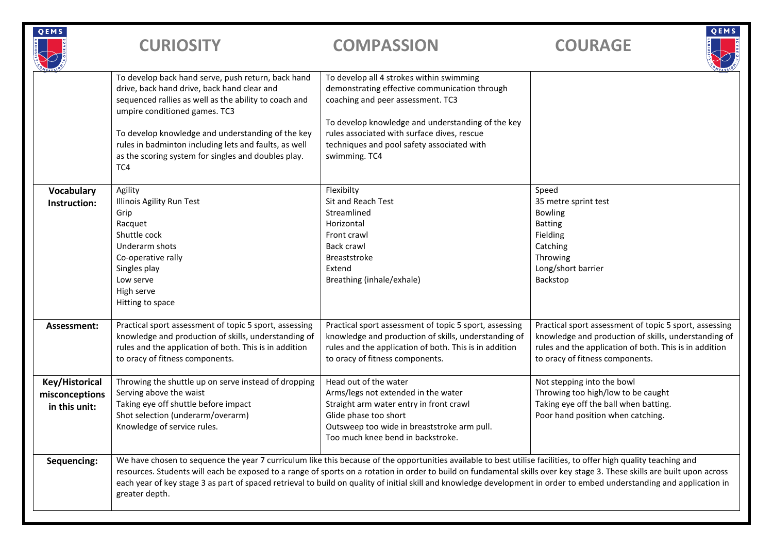| QEMS                                              | <b>CURIOSITY</b>                                                                                                                                                                                                                                                                                                                                                                                                                                                                                                                         | <b>COMPASSION</b>                                                                                                                                                                                                                                                                                 | QEMS<br><b>COURAGE</b>                                                                                                                                                                                      |  |
|---------------------------------------------------|------------------------------------------------------------------------------------------------------------------------------------------------------------------------------------------------------------------------------------------------------------------------------------------------------------------------------------------------------------------------------------------------------------------------------------------------------------------------------------------------------------------------------------------|---------------------------------------------------------------------------------------------------------------------------------------------------------------------------------------------------------------------------------------------------------------------------------------------------|-------------------------------------------------------------------------------------------------------------------------------------------------------------------------------------------------------------|--|
|                                                   | To develop back hand serve, push return, back hand<br>drive, back hand drive, back hand clear and<br>sequenced rallies as well as the ability to coach and<br>umpire conditioned games. TC3<br>To develop knowledge and understanding of the key<br>rules in badminton including lets and faults, as well<br>as the scoring system for singles and doubles play.<br>TC4                                                                                                                                                                  | To develop all 4 strokes within swimming<br>demonstrating effective communication through<br>coaching and peer assessment. TC3<br>To develop knowledge and understanding of the key<br>rules associated with surface dives, rescue<br>techniques and pool safety associated with<br>swimming. TC4 |                                                                                                                                                                                                             |  |
| Vocabulary<br>Instruction:                        | Agility<br>Illinois Agility Run Test<br>Grip<br>Racquet<br>Shuttle cock<br>Underarm shots<br>Co-operative rally<br>Singles play<br>Low serve<br>High serve<br>Hitting to space                                                                                                                                                                                                                                                                                                                                                           | Flexibilty<br>Sit and Reach Test<br>Streamlined<br>Horizontal<br>Front crawl<br>Back crawl<br>Breaststroke<br>Extend<br>Breathing (inhale/exhale)                                                                                                                                                 | Speed<br>35 metre sprint test<br><b>Bowling</b><br><b>Batting</b><br>Fielding<br>Catching<br>Throwing<br>Long/short barrier<br>Backstop                                                                     |  |
| Assessment:                                       | Practical sport assessment of topic 5 sport, assessing<br>knowledge and production of skills, understanding of<br>rules and the application of both. This is in addition<br>to oracy of fitness components.                                                                                                                                                                                                                                                                                                                              | Practical sport assessment of topic 5 sport, assessing<br>knowledge and production of skills, understanding of<br>rules and the application of both. This is in addition<br>to oracy of fitness components.                                                                                       | Practical sport assessment of topic 5 sport, assessing<br>knowledge and production of skills, understanding of<br>rules and the application of both. This is in addition<br>to oracy of fitness components. |  |
| Key/Historical<br>misconceptions<br>in this unit: | Throwing the shuttle up on serve instead of dropping<br>Serving above the waist<br>Taking eye off shuttle before impact<br>Shot selection (underarm/overarm)<br>Knowledge of service rules.                                                                                                                                                                                                                                                                                                                                              | Head out of the water<br>Arms/legs not extended in the water<br>Straight arm water entry in front crawl<br>Glide phase too short<br>Outsweep too wide in breaststroke arm pull.<br>Too much knee bend in backstroke.                                                                              | Not stepping into the bowl<br>Throwing too high/low to be caught<br>Taking eye off the ball when batting.<br>Poor hand position when catching.                                                              |  |
| Sequencing:                                       | We have chosen to sequence the year 7 curriculum like this because of the opportunities available to best utilise facilities, to offer high quality teaching and<br>resources. Students will each be exposed to a range of sports on a rotation in order to build on fundamental skills over key stage 3. These skills are built upon across<br>each year of key stage 3 as part of spaced retrieval to build on quality of initial skill and knowledge development in order to embed understanding and application in<br>greater depth. |                                                                                                                                                                                                                                                                                                   |                                                                                                                                                                                                             |  |